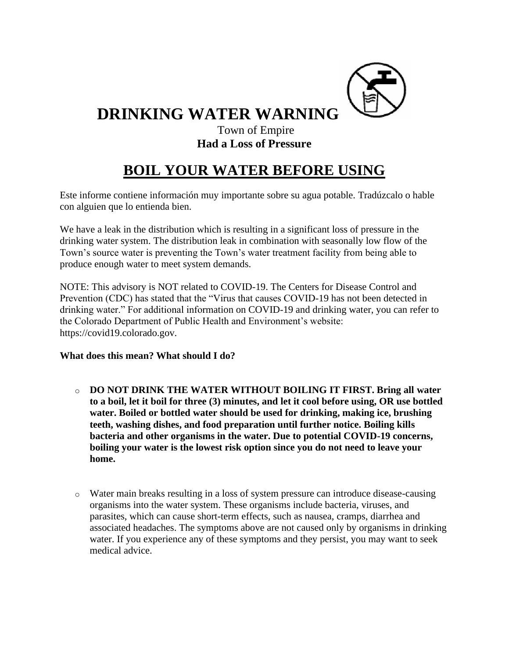

**DRINKING WATER WARNING**

## Town of Empire **Had a Loss of Pressure**

## **BOIL YOUR WATER BEFORE USING**

Este informe contiene información muy importante sobre su agua potable. Tradúzcalo o hable con alguien que lo entienda bien.

We have a leak in the distribution which is resulting in a significant loss of pressure in the drinking water system. The distribution leak in combination with seasonally low flow of the Town's source water is preventing the Town's water treatment facility from being able to produce enough water to meet system demands.

NOTE: This advisory is NOT related to COVID-19. The Centers for Disease Control and Prevention (CDC) has stated that the "Virus that causes COVID-19 has not been detected in drinking water." For additional information on COVID-19 and drinking water, you can refer to the Colorado Department of Public Health and Environment's website: https://covid19.colorado.gov.

**What does this mean? What should I do?**

- o **DO NOT DRINK THE WATER WITHOUT BOILING IT FIRST. Bring all water to a boil, let it boil for three (3) minutes, and let it cool before using, OR use bottled water. Boiled or bottled water should be used for drinking, making ice, brushing teeth, washing dishes, and food preparation until further notice. Boiling kills bacteria and other organisms in the water. Due to potential COVID-19 concerns, boiling your water is the lowest risk option since you do not need to leave your home.**
- o Water main breaks resulting in a loss of system pressure can introduce disease-causing organisms into the water system. These organisms include bacteria, viruses, and parasites, which can cause short-term effects, such as nausea, cramps, diarrhea and associated headaches. The symptoms above are not caused only by organisms in drinking water. If you experience any of these symptoms and they persist, you may want to seek medical advice.